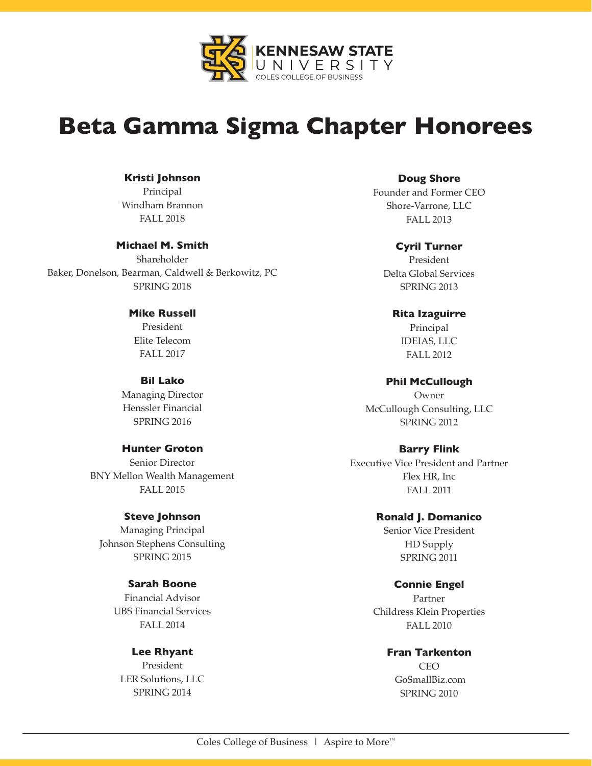

# **Beta Gamma Sigma Chapter Honorees**

#### **Kristi Johnson**

Principal Windham Brannon FALL 2018

# **Michael M. Smith**

Shareholder Baker, Donelson, Bearman, Caldwell & Berkowitz, PC SPRING 2018

# **Mike Russell**

President Elite Telecom FALL 2017

# **Bil Lako**

Managing Director Henssler Financial SPRING 2016

#### **Hunter Groton**

Senior Director BNY Mellon Wealth Management FALL 2015

#### **Steve Johnson**

Managing Principal Johnson Stephens Consulting SPRING 2015

#### **Sarah Boone**

Financial Advisor UBS Financial Services FALL 2014

# **Lee Rhyant**

President LER Solutions, LLC SPRING 2014

**Doug Shore**

Founder and Former CEO Shore-Varrone, LLC FALL 2013

#### **Cyril Turner**

President Delta Global Services SPRING 2013

#### **Rita Izaguirre**

Principal IDEIAS, LLC FALL 2012

#### **Phil McCullough**

Owner McCullough Consulting, LLC SPRING 2012

# **Barry Flink**

Executive Vice President and Partner Flex HR, Inc FALL 2011

#### **Ronald J. Domanico**

Senior Vice President HD Supply SPRING 2011

#### **Connie Engel**

Partner Childress Klein Properties FALL 2010

#### **Fran Tarkenton**

CEO GoSmallBiz.com SPRING 2010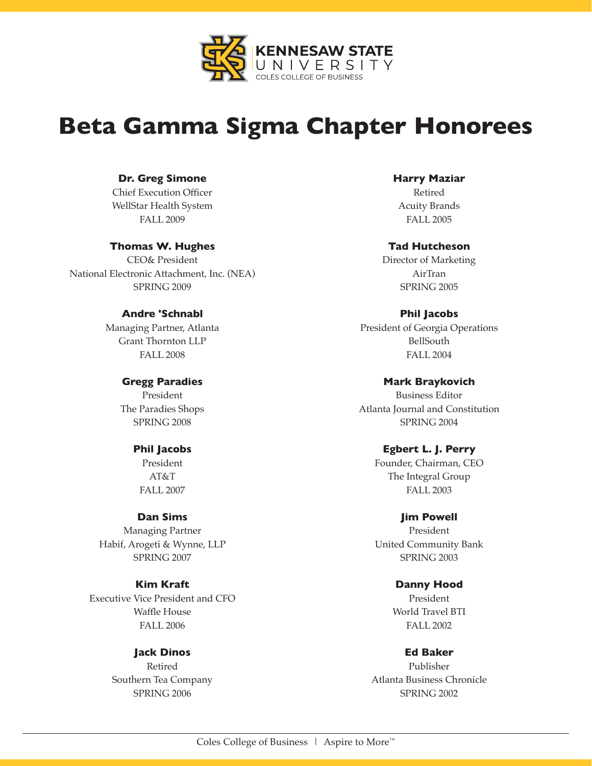

# **Beta Gamma Sigma Chapter Honorees**

# **Dr. Greg Simone**

Chief Execution Officer WellStar Health System FALL 2009

# **Thomas W. Hughes**

CEO& President National Electronic Attachment, Inc. (NEA) SPRING 2009

# **Andre 'Schnabl**

Managing Partner, Atlanta Grant Thornton LLP FALL 2008

> **Gregg Paradies** President The Paradies Shops SPRING 2008

#### **Phil Jacobs**

President AT&T FALL 2007

#### **Dan Sims**

Managing Partner Habif, Arogeti & Wynne, LLP SPRING 2007

# **Kim Kraft**

Executive Vice President and CFO Waffle House FALL 2006

> **Jack Dinos**  Retired Southern Tea Company SPRING 2006

**Harry Maziar**  Retired Acuity Brands

FALL 2005

#### **Tad Hutcheson**

Director of Marketing AirTran SPRING 2005

# **Phil Jacobs**

President of Georgia Operations BellSouth FALL 2004

#### **Mark Braykovich**

Business Editor Atlanta Journal and Constitution SPRING 2004

# **Egbert L. J. Perry**

Founder, Chairman, CEO The Integral Group FALL 2003

> **Jim Powell**  President

United Community Bank SPRING 2003

# **Danny Hood**

President World Travel BTI FALL 2002

**Ed Baker** 

Publisher Atlanta Business Chronicle SPRING 2002